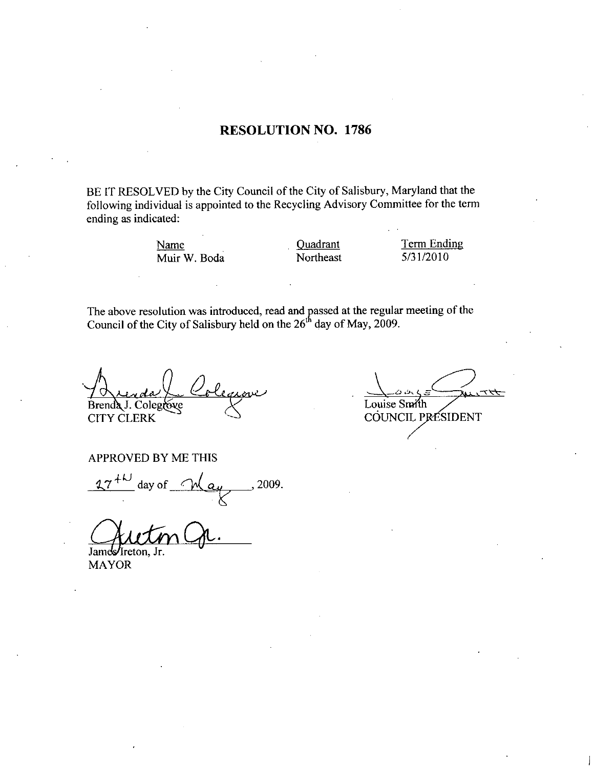#### RESOLUTION NO. 1786

BE IT RESOLVED by the City Council of the City of Salisbury, Maryland that the following individual is appointed to the Recycling Advisory Committee for the term ending as indicated VED by the City Council of the City of Salisbury, Maryland the<br>vidual is appointed to the Recycling Advisory Committee for the<br>ated:<br>Name Quadrant Term Endi<br>Muir W. Boda Northeast 5/31/2010

Name Quadrant Term Ending

The above resolution was introduced, read and passed at the regular meeting of the Council of the City of Salisbury held on the  $26<sup>th</sup>$  day of May, 2009.

منىيى Brenda J. Colegrove CITY CLERK

いて Louise Smith COUNCIL PRÉSIDENT

APPROVED BY ME THIS

day of  $M$  ay  $\qquad$ , 2009.

James/Ireton, Jr.

MAYOR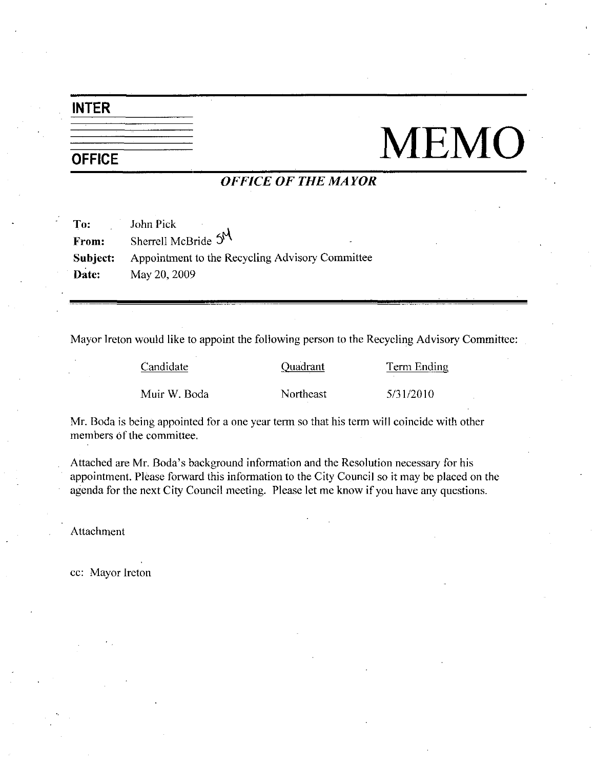## INTER

# NEMO

# OFFICE OF THE MAYOR

| To:   | John Pick                                                       |
|-------|-----------------------------------------------------------------|
| From: | Sherrell McBride 5N<br>$\overline{\phantom{a}}$                 |
|       | <b>Subject:</b> Appointment to the Recycling Advisory Committee |
| Date: | May 20, 2009                                                    |

| Mayor Ireton would like to appoint the following person to the Recycling Advisory Committee: |           |             |
|----------------------------------------------------------------------------------------------|-----------|-------------|
| Candidate                                                                                    | Quadrant  | Term Ending |
| Muir W. Boda                                                                                 | Northeast | 5/31/2010   |
|                                                                                              |           |             |

members of the committee.

Mr. Boda is being appointed for a one year term so that his term will coincide with other<br>members of the committee.<br>Attached are Mr. Boda's background information and the Resolution necessary for his<br>appointment. Please fo Attached are Mr. Boda's background information and the Resolution necessary for his appointment. Please forward this information to the City Council so it may be placed on the agenda for the next City Council meeting. Please let me know if you have any questions.

Attachment

cc: Mayor Ireton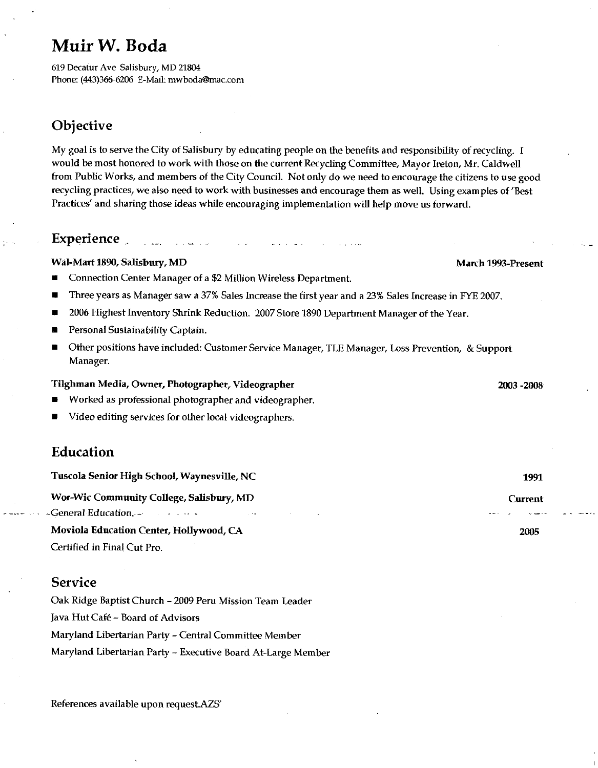# Muir W. Boda

619 Decatur Ave Salisbury, MD 21804 Phone: (443)366-6206 E-Mail: mwboda@mac.com

# Objective

My goal is to serve the City of Salisbury by educating people on the benefits and responsibility of recycling. I would be most honored to work with those on the current Recycling Committee, Mayor Ireton, Mr. Caldwell from Public Works and members of the City Council Notonly do we need to encourage the citizens to use good recycling practices, we also need to work with businesses and encourage them as well. Using examples of 'Best Practices' and sharing those ideas while encouraging implementation will help move us forward.

### **Experience**

#### Wal Mart<sup>1890</sup> Salisbury MD March 1993 Present

المستدان

Connection Center Manager of a \$2 Million Wireless Department.

- Three years as Manager saw a 37% Sales Increase the first year and a 23% Sales Increase in FYE 2007.
- 2006 Highest Inventory Shrink Reduction. 2007 Store 1890 Department Manager of the Year.
- Personal Susfainabilify Captain
- Other positions have included: Customer Service Manager, TLE Manager, Loss Prevention, & Support ■ Manager

#### Tilghman Media Owner Photographer Videographer <sup>2003</sup> 2008

- Worked as professional phorographer and videographer
- Video editing services for other local videographers

#### Education

| Tuscola Senior High School, Waynesville, NC                                   | 1991    |
|-------------------------------------------------------------------------------|---------|
| Wor-Wic Community College, Salisbury, MD                                      | Current |
| -General Education. $\cdots$<br>the control of the second control of the con- |         |
| Moviola Education Center, Hollywood, CA                                       | 2005    |
|                                                                               |         |

Certified in Final Cut Pro

#### Service

Oak Ridge Baptist Church <sup>2009</sup> Peru Mission Team Leader Java Hut Café – Board of Advisors Maryland Libertarian Party – Central Committee Member<br>Maryland Libertarian Party – Executive Board At-Large Member

References available upon request.AZS'